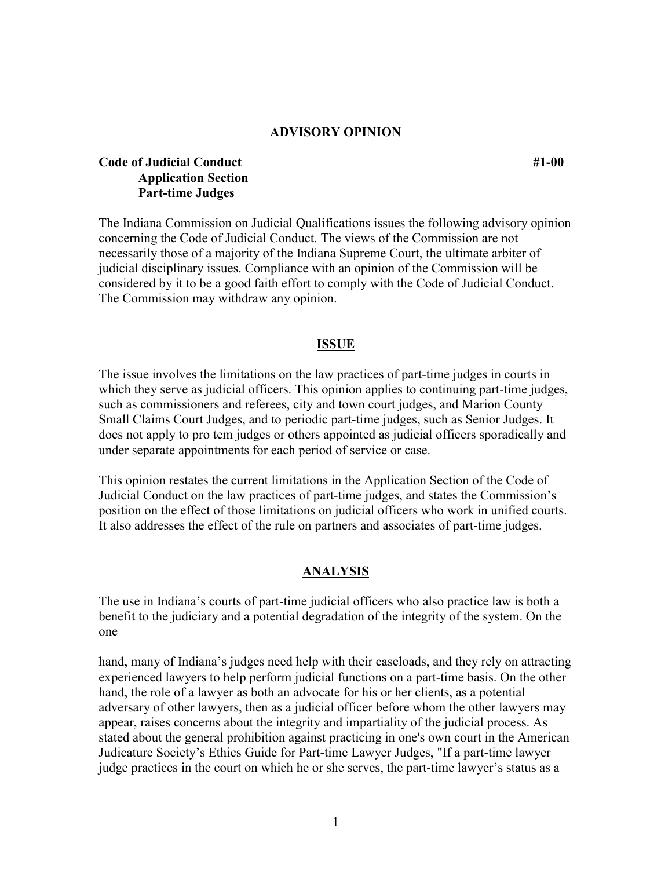### **ADVISORY OPINION**

# **Code of Judicial Conduct** #1-00 **Application Section Part-time Judges**

The Indiana Commission on Judicial Qualifications issues the following advisory opinion concerning the Code of Judicial Conduct. The views of the Commission are not necessarily those of a majority of the Indiana Supreme Court, the ultimate arbiter of judicial disciplinary issues. Compliance with an opinion of the Commission will be considered by it to be a good faith effort to comply with the Code of Judicial Conduct. The Commission may withdraw any opinion.

#### **ISSUE**

The issue involves the limitations on the law practices of part-time judges in courts in which they serve as judicial officers. This opinion applies to continuing part-time judges, such as commissioners and referees, city and town court judges, and Marion County Small Claims Court Judges, and to periodic part-time judges, such as Senior Judges. It does not apply to pro tem judges or others appointed as judicial officers sporadically and under separate appointments for each period of service or case.

This opinion restates the current limitations in the Application Section of the Code of Judicial Conduct on the law practices of part-time judges, and states the Commission's position on the effect of those limitations on judicial officers who work in unified courts. It also addresses the effect of the rule on partners and associates of part-time judges.

#### **ANALYSIS**

The use in Indiana's courts of part-time judicial officers who also practice law is both a benefit to the judiciary and a potential degradation of the integrity of the system. On the one

hand, many of Indiana's judges need help with their caseloads, and they rely on attracting experienced lawyers to help perform judicial functions on a part-time basis. On the other hand, the role of a lawyer as both an advocate for his or her clients, as a potential adversary of other lawyers, then as a judicial officer before whom the other lawyers may appear, raises concerns about the integrity and impartiality of the judicial process. As stated about the general prohibition against practicing in one's own court in the American Judicature Society's Ethics Guide for Part-time Lawyer Judges, "If a part-time lawyer judge practices in the court on which he or she serves, the part-time lawyer's status as a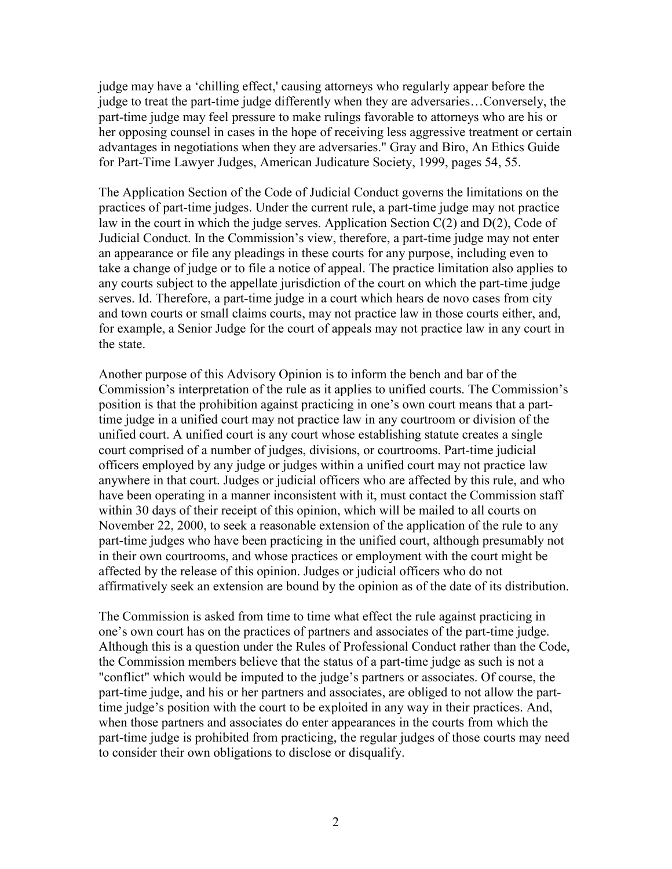judge may have a 'chilling effect,' causing attorneys who regularly appear before the judge to treat the part-time judge differently when they are adversaries…Conversely, the part-time judge may feel pressure to make rulings favorable to attorneys who are his or her opposing counsel in cases in the hope of receiving less aggressive treatment or certain advantages in negotiations when they are adversaries." Gray and Biro, An Ethics Guide for Part-Time Lawyer Judges, American Judicature Society, 1999, pages 54, 55.

The Application Section of the Code of Judicial Conduct governs the limitations on the practices of part-time judges. Under the current rule, a part-time judge may not practice law in the court in which the judge serves. Application Section C(2) and D(2), Code of Judicial Conduct. In the Commission's view, therefore, a part-time judge may not enter an appearance or file any pleadings in these courts for any purpose, including even to take a change of judge or to file a notice of appeal. The practice limitation also applies to any courts subject to the appellate jurisdiction of the court on which the part-time judge serves. Id. Therefore, a part-time judge in a court which hears de novo cases from city and town courts or small claims courts, may not practice law in those courts either, and, for example, a Senior Judge for the court of appeals may not practice law in any court in the state.

Another purpose of this Advisory Opinion is to inform the bench and bar of the Commission's interpretation of the rule as it applies to unified courts. The Commission's position is that the prohibition against practicing in one's own court means that a parttime judge in a unified court may not practice law in any courtroom or division of the unified court. A unified court is any court whose establishing statute creates a single court comprised of a number of judges, divisions, or courtrooms. Part-time judicial officers employed by any judge or judges within a unified court may not practice law anywhere in that court. Judges or judicial officers who are affected by this rule, and who have been operating in a manner inconsistent with it, must contact the Commission staff within 30 days of their receipt of this opinion, which will be mailed to all courts on November 22, 2000, to seek a reasonable extension of the application of the rule to any part-time judges who have been practicing in the unified court, although presumably not in their own courtrooms, and whose practices or employment with the court might be affected by the release of this opinion. Judges or judicial officers who do not affirmatively seek an extension are bound by the opinion as of the date of its distribution.

The Commission is asked from time to time what effect the rule against practicing in one's own court has on the practices of partners and associates of the part-time judge. Although this is a question under the Rules of Professional Conduct rather than the Code, the Commission members believe that the status of a part-time judge as such is not a "conflict" which would be imputed to the judge's partners or associates. Of course, the part-time judge, and his or her partners and associates, are obliged to not allow the parttime judge's position with the court to be exploited in any way in their practices. And, when those partners and associates do enter appearances in the courts from which the part-time judge is prohibited from practicing, the regular judges of those courts may need to consider their own obligations to disclose or disqualify.